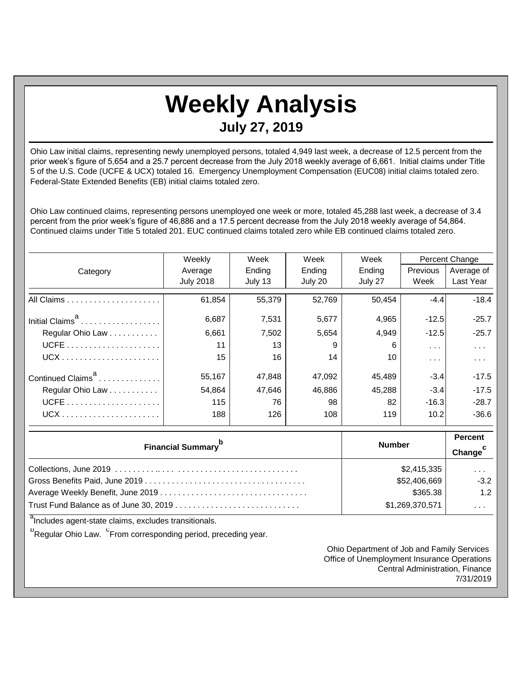## **Weekly Analysis July 27, 2019**

Ohio Law initial claims, representing newly unemployed persons, totaled 4,949 last week, a decrease of 12.5 percent from the prior week's figure of 5,654 and a 25.7 percent decrease from the July 2018 weekly average of 6,661. Initial claims under Title 5 of the U.S. Code (UCFE & UCX) totaled 16. Emergency Unemployment Compensation (EUC08) initial claims totaled zero. Federal-State Extended Benefits (EB) initial claims totaled zero.

Ohio Law continued claims, representing persons unemployed one week or more, totaled 45,288 last week, a decrease of 3.4 percent from the prior week's figure of 46,886 and a 17.5 percent decrease from the July 2018 weekly average of 54,864. Continued claims under Title 5 totaled 201. EUC continued claims totaled zero while EB continued claims totaled zero.

|                               | Weekly           | Week    | Week    | Week    | Percent Change |            |
|-------------------------------|------------------|---------|---------|---------|----------------|------------|
| Category                      | Average          | Ending  | Ending  | Ending  | Previous       | Average of |
|                               | <b>July 2018</b> | July 13 | July 20 | July 27 | Week           | Last Year  |
|                               | 61,854           | 55,379  | 52,769  | 50,454  | $-4.4$         | $-18.4$    |
| Initial Claims <sup>a</sup>   | 6,687            | 7,531   | 5,677   | 4,965   | $-12.5$        | $-25.7$    |
| Regular Ohio Law              | 6,661            | 7,502   | 5,654   | 4,949   | $-12.5$        | $-25.7$    |
|                               | 11               | 13      | 9       | 6       | $\sim$ $\sim$  | $\cdots$   |
|                               | 15               | 16      | 14      | 10      | $\cdots$       | $\cdots$   |
| Continued Claims <sup>a</sup> | 55,167           | 47,848  | 47,092  | 45.489  | $-3.4$         | $-17.5$    |
| Regular Ohio Law              | 54.864           | 47,646  | 46,886  | 45,288  | $-3.4$         | $-17.5$    |
|                               | 115              | 76      | 98      | 82      | $-16.3$        | $-28.7$    |
|                               | 188              | 126     | 108     | 119     | 10.2           | $-36.6$    |

| <b>Financial Summary</b> <sup>p</sup> | <b>Number</b>   | <b>Percent</b><br>Change <sup>c</sup> |
|---------------------------------------|-----------------|---------------------------------------|
|                                       | \$2,415,335     | $\cdots$                              |
|                                       | \$52,406,669    | $-3.2$                                |
|                                       | \$365.38        | 1.2                                   |
|                                       | \$1,269,370,571 | .                                     |

<sup>a</sup>Includes agent-state claims, excludes transitionals.

<sup>b</sup>Regular Ohio Law. <sup>C</sup>From corresponding period, preceding year.

Ohio Department of Job and Family Services Office of Unemployment Insurance Operations Central Administration, Finance 7/31/2019